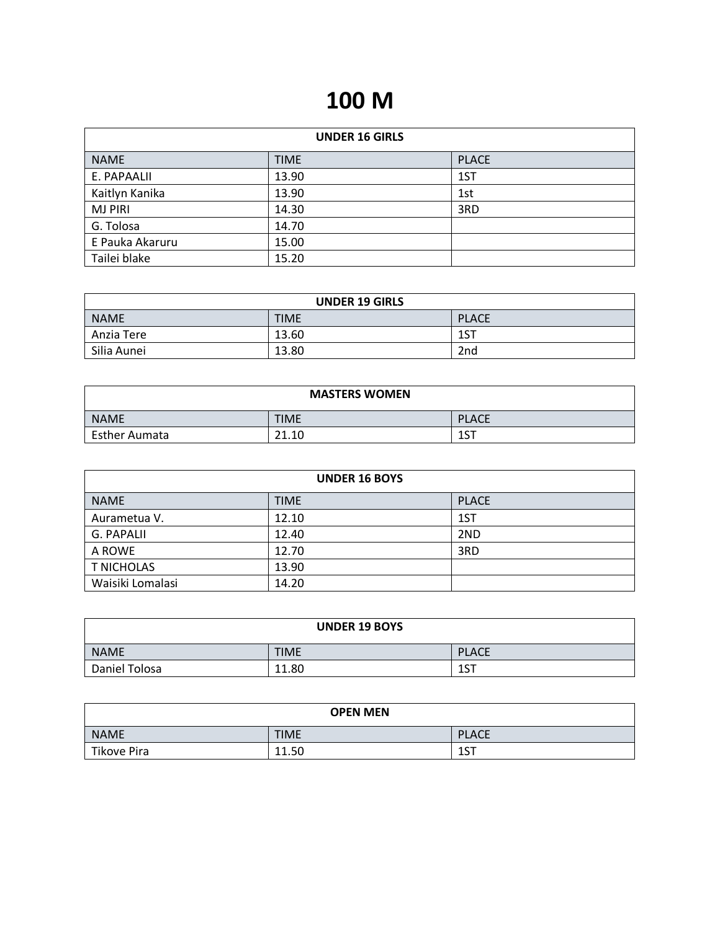# **100 M**

| <b>UNDER 16 GIRLS</b> |             |              |
|-----------------------|-------------|--------------|
| <b>NAME</b>           | <b>TIME</b> | <b>PLACE</b> |
| E. PAPAALII           | 13.90       | 1ST          |
| Kaitlyn Kanika        | 13.90       | 1st          |
| <b>MJ PIRI</b>        | 14.30       | 3RD          |
| G. Tolosa             | 14.70       |              |
| E Pauka Akaruru       | 15.00       |              |
| Tailei blake          | 15.20       |              |

| <b>UNDER 19 GIRLS</b> |             |                 |
|-----------------------|-------------|-----------------|
| NAME                  | <b>TIME</b> | <b>PLACE</b>    |
| Anzia Tere            | 13.60       | 1ST             |
| Silia Aunei           | 13.80       | 2 <sub>nd</sub> |

| <b>MASTERS WOMEN</b> |             |              |
|----------------------|-------------|--------------|
| NAME                 | <b>TIME</b> | <b>PLACE</b> |
| <b>Esther Aumata</b> | 21.10       | 1ST          |

| <b>UNDER 16 BOYS</b> |             |              |
|----------------------|-------------|--------------|
| <b>NAME</b>          | <b>TIME</b> | <b>PLACE</b> |
| Aurametua V.         | 12.10       | 1ST          |
| G. PAPALII           | 12.40       | 2ND          |
| A ROWE               | 12.70       | 3RD          |
| <b>T NICHOLAS</b>    | 13.90       |              |
| Waisiki Lomalasi     | 14.20       |              |

| <b>UNDER 19 BOYS</b> |             |              |
|----------------------|-------------|--------------|
| <b>NAME</b>          | <b>TIME</b> | <b>PLACE</b> |
| Daniel Tolosa        | 11.80       | 1CT<br>⊥ ا   |

| <b>OPEN MEN</b>    |             |              |
|--------------------|-------------|--------------|
| <b>NAME</b>        | <b>TIME</b> | <b>PLACE</b> |
| <b>Tikove Pira</b> | 11.50       | 1CT<br>∸JI   |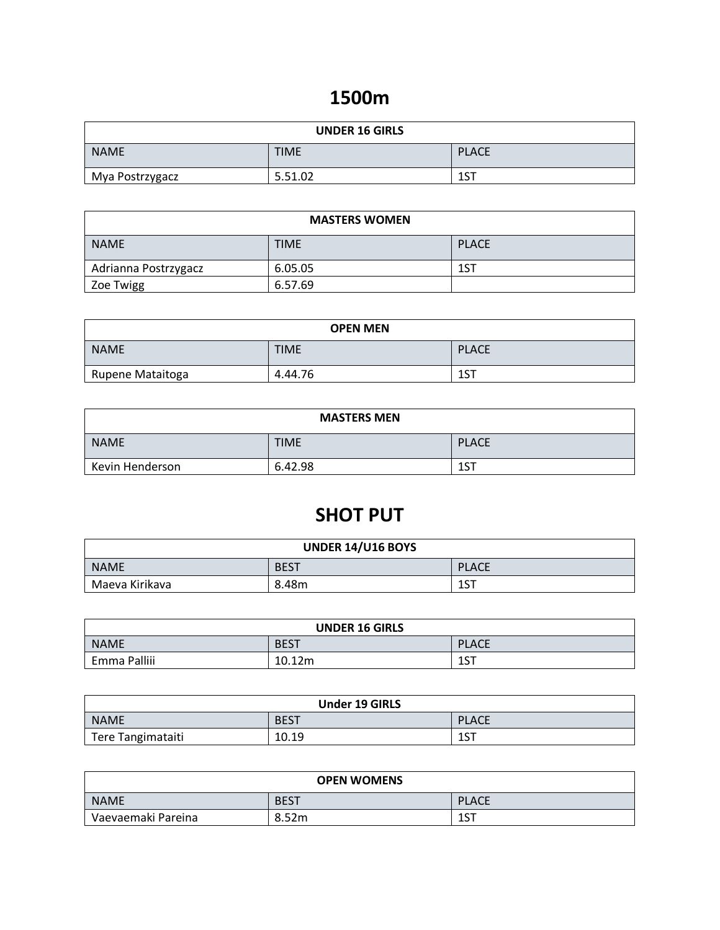### **1500m**

| <b>UNDER 16 GIRLS</b> |             |              |
|-----------------------|-------------|--------------|
| <b>NAME</b>           | <b>TIME</b> | <b>PLACE</b> |
| Mya Postrzygacz       | 5.51.02     | 1ST          |

| <b>MASTERS WOMEN</b>                       |         |     |
|--------------------------------------------|---------|-----|
| <b>NAME</b><br><b>TIME</b><br><b>PLACE</b> |         |     |
| Adrianna Postrzygacz                       | 6.05.05 | 1ST |
| Zoe Twigg                                  | 6.57.69 |     |

| <b>OPEN MEN</b>  |             |              |
|------------------|-------------|--------------|
| <b>NAME</b>      | <b>TIME</b> | <b>PLACE</b> |
| Rupene Mataitoga | 4.44.76     | 1ST          |

| <b>MASTERS MEN</b> |             |              |
|--------------------|-------------|--------------|
| <b>NAME</b>        | <b>TIME</b> | <b>PLACE</b> |
| Kevin Henderson    | 6.42.98     | 1ST          |

# **SHOT PUT**

| <b>UNDER 14/U16 BOYS</b> |             |              |
|--------------------------|-------------|--------------|
| <b>NAME</b>              | <b>BEST</b> | <b>PLACE</b> |
| Maeva Kirikava           | 8.48m       | ACT<br>⊥ ט   |

| UNDER 16 GIRLS |             |              |
|----------------|-------------|--------------|
| <b>NAME</b>    | <b>BEST</b> | <b>PLACE</b> |
| Emma Palliii   | 10.12m      | AC<br>וכ⊥    |

| <b>Under 19 GIRLS</b> |             |              |
|-----------------------|-------------|--------------|
| <b>NAME</b>           | <b>BEST</b> | <b>PLACE</b> |
| Tere Tangimataiti     | 10.19       | ACT          |

| <b>OPEN WOMENS</b> |             |                       |
|--------------------|-------------|-----------------------|
| <b>NAME</b>        | <b>BEST</b> | <b>PLACE</b>          |
| Vaevaemaki Pareina | 8.52m       | 1 <sub>C</sub><br>⊥ ل |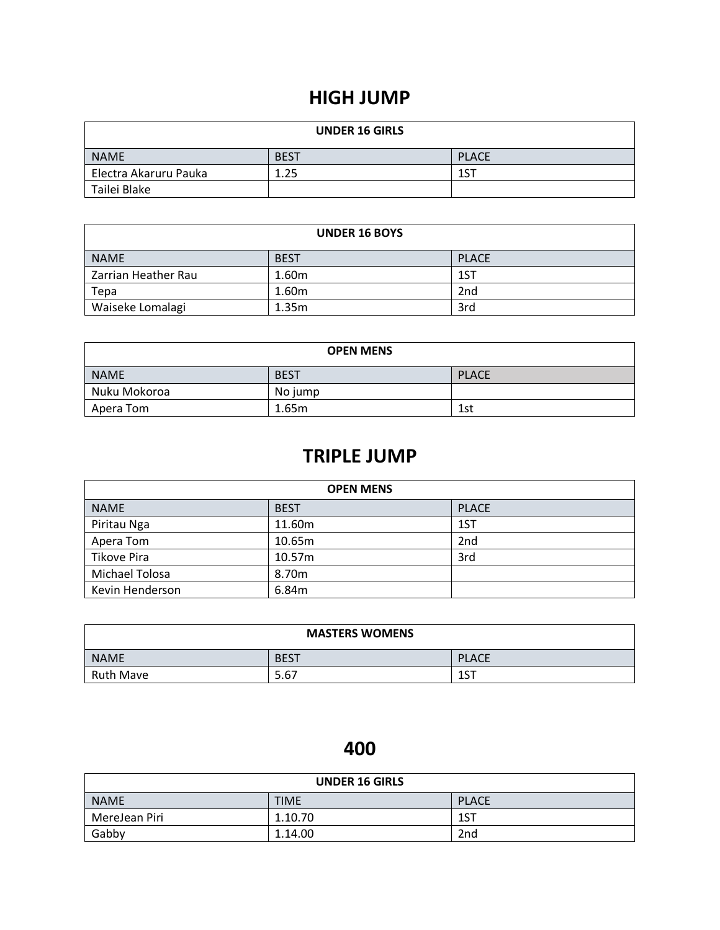### **HIGH JUMP**

| <b>UNDER 16 GIRLS</b> |             |              |
|-----------------------|-------------|--------------|
| <b>NAME</b>           | <b>BEST</b> | <b>PLACE</b> |
| Electra Akaruru Pauka | 1.25        | 1ST          |
| Tailei Blake          |             |              |

| <b>UNDER 16 BOYS</b> |             |                 |
|----------------------|-------------|-----------------|
| <b>NAME</b>          | <b>BEST</b> | <b>PLACE</b>    |
| Zarrian Heather Rau  | 1.60m       | 1ST             |
| Tepa                 | 1.60m       | 2 <sub>nd</sub> |
| Waiseke Lomalagi     | 1.35m       | 3rd             |

| <b>OPEN MENS</b> |             |              |
|------------------|-------------|--------------|
| NAME             | <b>BEST</b> | <b>PLACE</b> |
| Nuku Mokoroa     | No jump     |              |
| Apera Tom        | 1.65m       | 1st          |

### **TRIPLE JUMP**

| <b>OPEN MENS</b>      |                   |                 |
|-----------------------|-------------------|-----------------|
| <b>NAME</b>           | <b>BEST</b>       | <b>PLACE</b>    |
| Piritau Nga           | 11.60m            | 1ST             |
| Apera Tom             | 10.65m            | 2 <sub>nd</sub> |
| Tikove Pira           | 10.57m            | 3rd             |
| <b>Michael Tolosa</b> | 8.70 <sub>m</sub> |                 |
| Kevin Henderson       | 6.84m             |                 |

| <b>MASTERS WOMENS</b> |             |              |
|-----------------------|-------------|--------------|
| <b>NAME</b>           | <b>BEST</b> | <b>PLACE</b> |
| <b>Ruth Mave</b>      | 5.67        | ACT<br>⊥ ا   |

### **400**

| <b>UNDER 16 GIRLS</b> |             |                 |
|-----------------------|-------------|-----------------|
| <b>NAME</b>           | <b>TIME</b> | <b>PLACE</b>    |
| MereJean Piri         | 1.10.70     | 1ST             |
| Gabby                 | 1.14.00     | 2 <sub>nd</sub> |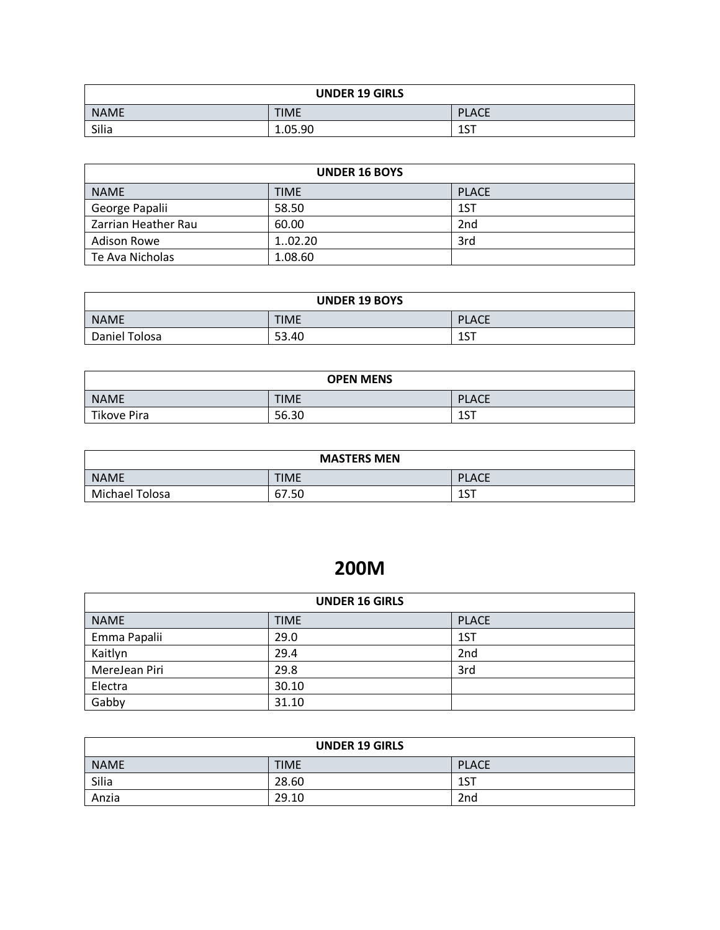| <b>UNDER 19 GIRLS</b> |             |              |
|-----------------------|-------------|--------------|
| <b>NAME</b>           | <b>TIME</b> | <b>PLACE</b> |
| Silia                 | 1.05.90     | 1ST          |

| <b>UNDER 16 BOYS</b> |             |              |
|----------------------|-------------|--------------|
| <b>NAME</b>          | <b>TIME</b> | <b>PLACE</b> |
| George Papalii       | 58.50       | 1ST          |
| Zarrian Heather Rau  | 60.00       | 2nd          |
| <b>Adison Rowe</b>   | 102.20      | 3rd          |
| Te Ava Nicholas      | 1.08.60     |              |

| <b>UNDER 19 BOYS</b> |             |              |
|----------------------|-------------|--------------|
| <b>NAME</b>          | <b>TIME</b> | <b>PLACE</b> |
| Daniel Tolosa        | 53.40       | 1C           |

| <b>OPEN MENS</b>   |             |              |
|--------------------|-------------|--------------|
| <b>NAME</b>        | <b>TIME</b> | <b>PLACE</b> |
| <b>Tikove Pira</b> | 56.30       | 1CT<br>⊥J I  |

| <b>MASTERS MEN</b> |             |              |
|--------------------|-------------|--------------|
| <b>NAME</b>        | <b>TIME</b> | <b>PLACE</b> |
| Michael Tolosa     | 67.50       | 1CT<br>⊥ ا   |

# **200M**

| <b>UNDER 16 GIRLS</b> |             |              |
|-----------------------|-------------|--------------|
| <b>NAME</b>           | <b>TIME</b> | <b>PLACE</b> |
| Emma Papalii          | 29.0        | 1ST          |
| Kaitlyn               | 29.4        | 2nd          |
| MereJean Piri         | 29.8        | 3rd          |
| Electra               | 30.10       |              |
| Gabby                 | 31.10       |              |

| <b>UNDER 19 GIRLS</b> |             |                 |
|-----------------------|-------------|-----------------|
| <b>NAME</b>           | <b>TIME</b> | <b>PLACE</b>    |
| Silia                 | 28.60       | 1ST             |
| Anzia                 | 29.10       | 2 <sub>nd</sub> |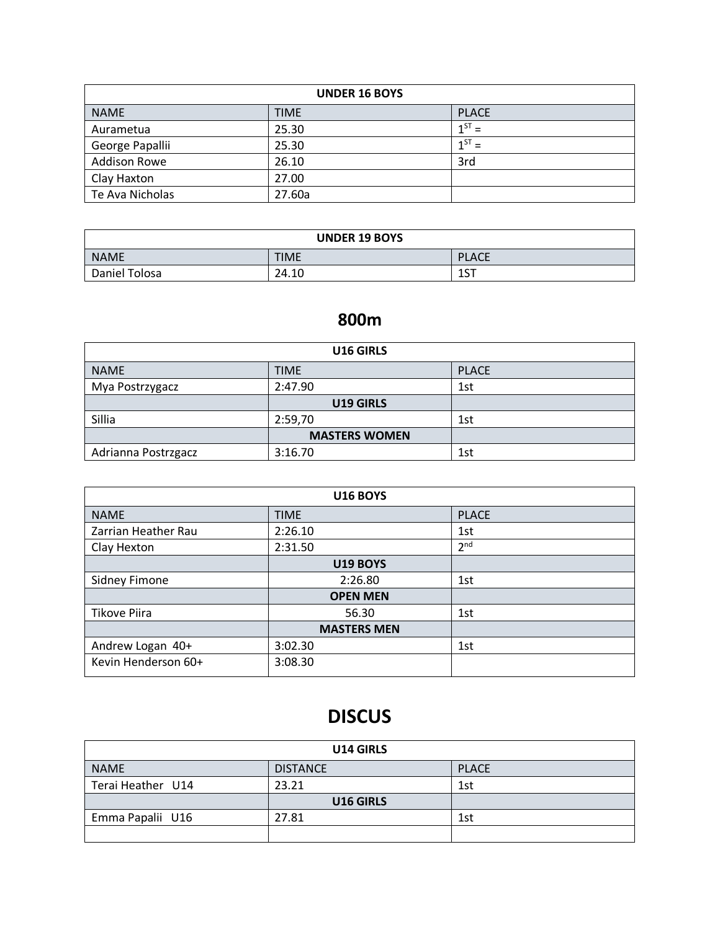| <b>UNDER 16 BOYS</b> |             |              |
|----------------------|-------------|--------------|
| <b>NAME</b>          | <b>TIME</b> | <b>PLACE</b> |
| Aurametua            | 25.30       | $1^{ST}$ =   |
| George Papallii      | 25.30       | $1^{ST}$ =   |
| <b>Addison Rowe</b>  | 26.10       | 3rd          |
| Clay Haxton          | 27.00       |              |
| Te Ava Nicholas      | 27.60a      |              |

| <b>UNDER 19 BOYS</b> |             |              |
|----------------------|-------------|--------------|
| <b>NAME</b>          | <b>TIME</b> | <b>PLACE</b> |
| Daniel Tolosa        | 24.10       | ACT<br>⊥ ل   |

#### **800m**

| U16 GIRLS           |                      |              |
|---------------------|----------------------|--------------|
| <b>NAME</b>         | <b>TIME</b>          | <b>PLACE</b> |
| Mya Postrzygacz     | 2:47.90              | 1st          |
|                     | U19 GIRLS            |              |
| Sillia              | 2:59,70              | 1st          |
|                     | <b>MASTERS WOMEN</b> |              |
| Adrianna Postrzgacz | 3:16.70              | 1st          |

| <b>U16 BOYS</b>     |                    |                 |
|---------------------|--------------------|-----------------|
| <b>NAME</b>         | <b>TIME</b>        | <b>PLACE</b>    |
| Zarrian Heather Rau | 2:26.10            | 1st             |
| Clay Hexton         | 2:31.50            | 2 <sup>nd</sup> |
|                     | <b>U19 BOYS</b>    |                 |
| Sidney Fimone       | 2:26.80            | 1st             |
|                     | <b>OPEN MEN</b>    |                 |
| <b>Tikove Piira</b> | 56.30              | 1st             |
|                     | <b>MASTERS MEN</b> |                 |
| Andrew Logan 40+    | 3:02.30            | 1st             |
| Kevin Henderson 60+ | 3:08.30            |                 |

# **DISCUS**

| U14 GIRLS         |                 |              |
|-------------------|-----------------|--------------|
| <b>NAME</b>       | <b>DISTANCE</b> | <b>PLACE</b> |
| Terai Heather U14 | 23.21           | 1st          |
|                   | U16 GIRLS       |              |
| Emma Papalii U16  | 27.81           | 1st          |
|                   |                 |              |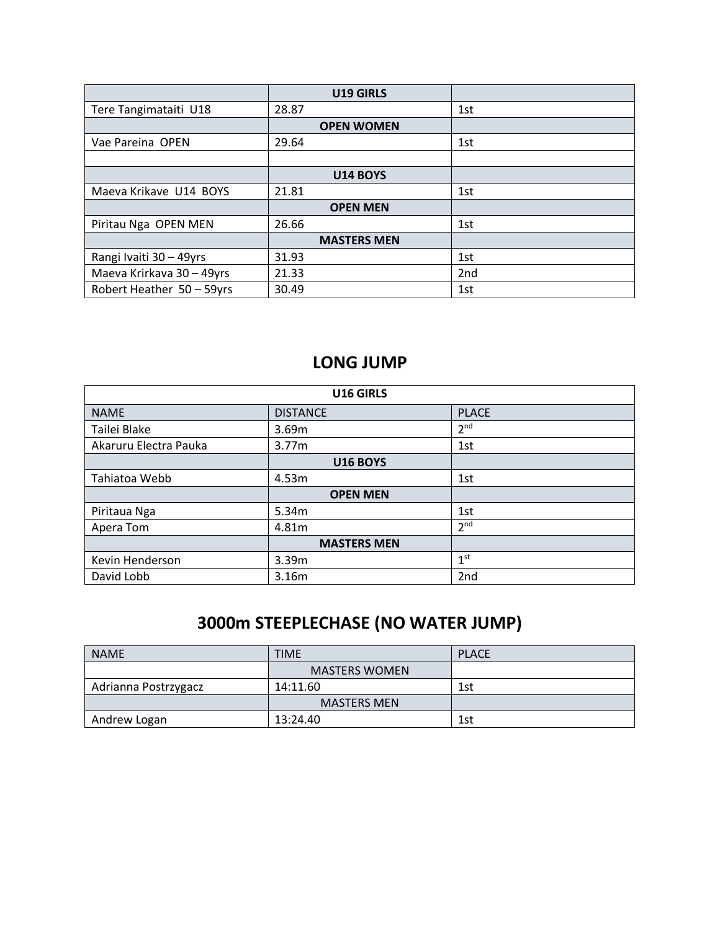|                           | U19 GIRLS          |                 |
|---------------------------|--------------------|-----------------|
| Tere Tangimataiti U18     | 28.87              | 1st             |
|                           | <b>OPEN WOMEN</b>  |                 |
| Vae Pareina OPEN          | 29.64              | 1st             |
|                           |                    |                 |
|                           | <b>U14 BOYS</b>    |                 |
| Maeva Krikave U14 BOYS    | 21.81              | 1st             |
|                           | <b>OPEN MEN</b>    |                 |
| Piritau Nga OPEN MEN      | 26.66              | 1st             |
|                           | <b>MASTERS MEN</b> |                 |
| Rangi Ivaiti 30 - 49yrs   | 31.93              | 1st             |
| Maeva Krirkava 30 - 49yrs | 21.33              | 2 <sub>nd</sub> |
| Robert Heather 50 - 59yrs | 30.49              | 1st             |

#### **LONG JUMP**

| U16 GIRLS             |                    |                 |
|-----------------------|--------------------|-----------------|
| <b>NAME</b>           | <b>DISTANCE</b>    | <b>PLACE</b>    |
| Tailei Blake          | 3.69m              | 2 <sup>nd</sup> |
| Akaruru Electra Pauka | 3.77m              | 1st             |
|                       | <b>U16 BOYS</b>    |                 |
| Tahiatoa Webb         | 4.53m              | 1st             |
|                       | <b>OPEN MEN</b>    |                 |
| Piritaua Nga          | 5.34m              | 1st             |
| Apera Tom             | 4.81m              | 2 <sup>nd</sup> |
|                       | <b>MASTERS MEN</b> |                 |
| Kevin Henderson       | 3.39m              | 1 <sup>st</sup> |
| David Lobb            | 3.16m              | 2 <sub>nd</sub> |

### **3000m STEEPLECHASE (NO WATER JUMP)**

| <b>NAME</b>          | <b>TIME</b>          | <b>PLACE</b> |
|----------------------|----------------------|--------------|
|                      | <b>MASTERS WOMEN</b> |              |
| Adrianna Postrzygacz | 14:11.60             | 1st          |
|                      | <b>MASTERS MEN</b>   |              |
| Andrew Logan         | 13:24.40             | 1st          |